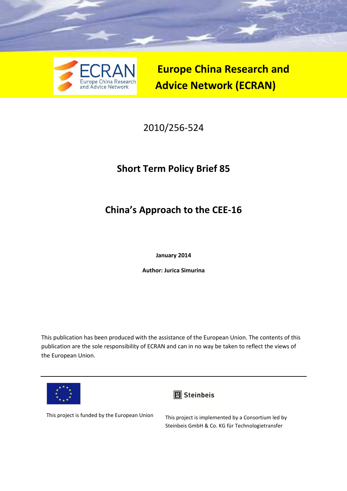

**Europe China Research and Advice Network (ECRAN)** 

# 2010/256-524

# **Short Term Policy Brief 85**

# **China's Approach to the CEE-16**

**January 2014** 

**Author: Jurica Simurina** 

This publication has been produced with the assistance of the European Union. The contents of this publication are the sole responsibility of ECRAN and can in no way be taken to reflect the views of the European Union.





This project is funded by the European Union This project is implemented by a Consortium led by Steinbeis GmbH & Co. KG für Technologietransfer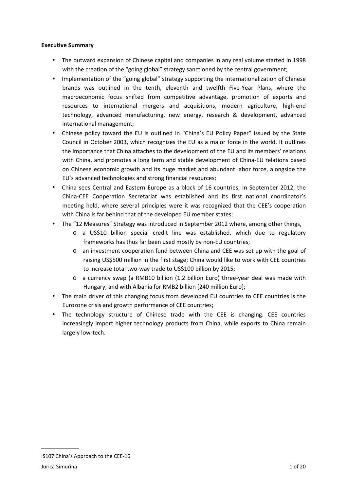#### **Executive Summary**

- The outward expansion of Chinese capital and companies in any real volume started in 1998 with the creation of the "going global" strategy sanctioned by the central government;
- Implementation of the "going global" strategy supporting the internationalization of Chinese brands was outlined in the tenth, eleventh and twelfth Five-Year Plans, where the macroeconomic focus shifted from competitive advantage, promotion of exports and resources to international mergers and acquisitions, modern agriculture, high-end technology, advanced manufacturing, new energy, research & development, advanced international management;
- Chinese policy toward the EU is outlined in "China's EU Policy Paper" issued by the State Council in October 2003, which recognizes the EU as a major force in the world. It outlines the importance that China attaches to the development of the EU and its members' relations with China, and promotes a long term and stable development of China-EU relations based on Chinese economic growth and its huge market and abundant labor force, alongside the EU's advanced technologies and strong financial resources;
- China sees Central and Eastern Europe as a block of 16 countries; In September 2012, the China-CEE Cooperation Secretariat was established and its first national coordinator's meeting held, where several principles were it was recognized that the CEE's cooperation with China is far behind that of the developed EU member states;
- The "12 Measures" Strategy was introduced in September 2012 where, among other things,
	- o a US\$10 billion special credit line was established, which due to regulatory frameworks has thus far been used mostly by non-EU countries;
	- o an investment cooperation fund between China and CEE was set up with the goal of raising US\$500 million in the first stage; China would like to work with CEE countries to increase total two-way trade to US\$100 billion by 2015;
	- o a currency swap (a RMB10 billion (1.2 billion Euro) three-year deal was made with Hungary, and with Albania for RMB2 billion (240 million Euro);
- The main driver of this changing focus from developed EU countries to CEE countries is the Eurozone crisis and growth performance of CEE countries;
- The technology structure of Chinese trade with the CEE is changing. CEE countries increasingly import higher technology products from China, while exports to China remain largely low-tech.

IS107 China's Approach to the CEE-16 Jurica Simurina 1 of 20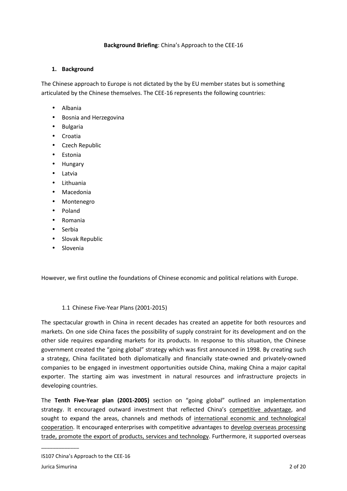#### **Background Briefing**: China's Approach to the CEE-16

#### **1. Background**

The Chinese approach to Europe is not dictated by the by EU member states but is something articulated by the Chinese themselves. The CEE-16 represents the following countries:

- Albania
- Bosnia and Herzegovina
- Bulgaria
- Croatia
- Czech Republic
- Estonia
- Hungary
- Latvia
- Lithuania
- Macedonia
- Montenegro
- Poland
- Romania
- Serbia
- Slovak Republic
- Slovenia

However, we first outline the foundations of Chinese economic and political relations with Europe.

#### 1.1 Chinese Five-Year Plans (2001-2015)

The spectacular growth in China in recent decades has created an appetite for both resources and markets. On one side China faces the possibility of supply constraint for its development and on the other side requires expanding markets for its products. In response to this situation, the Chinese government created the "going global" strategy which was first announced in 1998. By creating such a strategy, China facilitated both diplomatically and financially state-owned and privately-owned companies to be engaged in investment opportunities outside China, making China a major capital exporter. The starting aim was investment in natural resources and infrastructure projects in developing countries.

The **Tenth Five-Year plan (2001-2005)** section on "going global" outlined an implementation strategy. It encouraged outward investment that reflected China's competitive advantage, and sought to expand the areas, channels and methods of international economic and technological cooperation. It encouraged enterprises with competitive advantages to develop overseas processing trade, promote the export of products, services and technology. Furthermore, it supported overseas

IS107 China's Approach to the CEE-16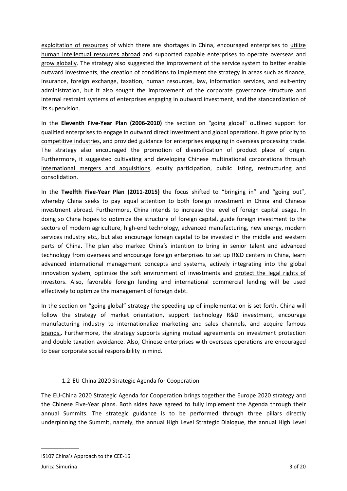exploitation of resources of which there are shortages in China, encouraged enterprises to utilize human intellectual resources abroad and supported capable enterprises to operate overseas and grow globally. The strategy also suggested the improvement of the service system to better enable outward investments, the creation of conditions to implement the strategy in areas such as finance, insurance, foreign exchange, taxation, human resources, law, information services, and exit-entry administration, but it also sought the improvement of the corporate governance structure and internal restraint systems of enterprises engaging in outward investment, and the standardization of its supervision.

In the **Eleventh Five-Year Plan (2006-2010)** the section on "going global" outlined support for qualified enterprises to engage in outward direct investment and global operations. It gave priority to competitive industries, and provided guidance for enterprises engaging in overseas processing trade. The strategy also encouraged the promotion of diversification of product place of origin. Furthermore, it suggested cultivating and developing Chinese multinational corporations through international mergers and acquisitions, equity participation, public listing, restructuring and consolidation.

In the **Twelfth Five-Year Plan (2011-2015)** the focus shifted to "bringing in" and "going out", whereby China seeks to pay equal attention to both foreign investment in China and Chinese investment abroad. Furthermore, China intends to increase the level of foreign capital usage. In doing so China hopes to optimize the structure of foreign capital, guide foreign investment to the sectors of modern agriculture, high-end technology, advanced manufacturing, new energy, modern services industry etc., but also encourage foreign capital to be invested in the middle and western parts of China. The plan also marked China's intention to bring in senior talent and advanced technology from overseas and encourage foreign enterprises to set up R&D centers in China, learn advanced international management concepts and systems, actively integrating into the global innovation system, optimize the soft environment of investments and protect the legal rights of investors. Also, favorable foreign lending and international commercial lending will be used effectively to optimize the management of foreign debt.

In the section on "going global" strategy the speeding up of implementation is set forth. China will follow the strategy of market orientation, support technology R&D investment, encourage manufacturing industry to internationalize marketing and sales channels, and acquire famous brands.. Furthermore, the strategy supports signing mutual agreements on investment protection and double taxation avoidance. Also, Chinese enterprises with overseas operations are encouraged to bear corporate social responsibility in mind.

# 1.2 EU-China 2020 Strategic Agenda for Cooperation

The EU-China 2020 Strategic Agenda for Cooperation brings together the Europe 2020 strategy and the Chinese Five-Year plans. Both sides have agreed to fully implement the Agenda through their annual Summits. The strategic guidance is to be performed through three pillars directly underpinning the Summit, namely, the annual High Level Strategic Dialogue, the annual High Level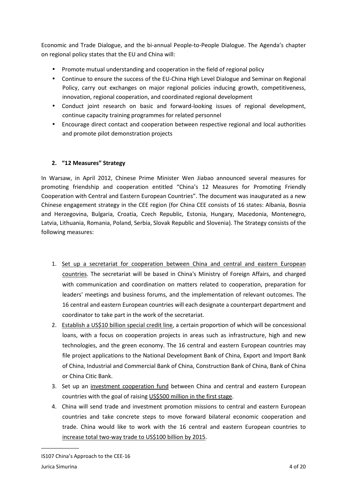Economic and Trade Dialogue, and the bi-annual People-to-People Dialogue. The Agenda's chapter on regional policy states that the EU and China will:

- Promote mutual understanding and cooperation in the field of regional policy
- Continue to ensure the success of the EU-China High Level Dialogue and Seminar on Regional Policy, carry out exchanges on major regional policies inducing growth, competitiveness, innovation, regional cooperation, and coordinated regional development
- Conduct joint research on basic and forward-looking issues of regional development, continue capacity training programmes for related personnel
- Encourage direct contact and cooperation between respective regional and local authorities and promote pilot demonstration projects

# **2. "12 Measures" Strategy**

In Warsaw, in April 2012, Chinese Prime Minister Wen Jiabao announced several measures for promoting friendship and cooperation entitled "China's 12 Measures for Promoting Friendly Cooperation with Central and Eastern European Countries". The document was inaugurated as a new Chinese engagement strategy in the CEE region (for China CEE consists of 16 states: Albania, Bosnia and Herzegovina, Bulgaria, Croatia, Czech Republic, Estonia, Hungary, Macedonia, Montenegro, Latvia, Lithuania, Romania, Poland, Serbia, Slovak Republic and Slovenia). The Strategy consists of the following measures:

- 1. Set up a secretariat for cooperation between China and central and eastern European countries. The secretariat will be based in China's Ministry of Foreign Affairs, and charged with communication and coordination on matters related to cooperation, preparation for leaders' meetings and business forums, and the implementation of relevant outcomes. The 16 central and eastern European countries will each designate a counterpart department and coordinator to take part in the work of the secretariat.
- 2. Establish a US\$10 billion special credit line, a certain proportion of which will be concessional loans, with a focus on cooperation projects in areas such as infrastructure, high and new technologies, and the green economy. The 16 central and eastern European countries may file project applications to the National Development Bank of China, Export and Import Bank of China, Industrial and Commercial Bank of China, Construction Bank of China, Bank of China or China Citic Bank.
- 3. Set up an investment cooperation fund between China and central and eastern European countries with the goal of raising US\$500 million in the first stage.
- 4. China will send trade and investment promotion missions to central and eastern European countries and take concrete steps to move forward bilateral economic cooperation and trade. China would like to work with the 16 central and eastern European countries to increase total two-way trade to US\$100 billion by 2015.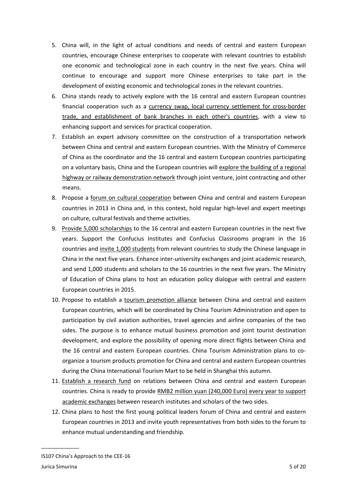- 5. China will, in the light of actual conditions and needs of central and eastern European countries, encourage Chinese enterprises to cooperate with relevant countries to establish one economic and technological zone in each country in the next five years. China will continue to encourage and support more Chinese enterprises to take part in the development of existing economic and technological zones in the relevant countries.
- 6. China stands ready to actively explore with the 16 central and eastern European countries financial cooperation such as a currency swap, local currency settlement for cross-border trade, and establishment of bank branches in each other's countries, with a view to enhancing support and services for practical cooperation.
- 7. Establish an expert advisory committee on the construction of a transportation network between China and central and eastern European countries. With the Ministry of Commerce of China as the coordinator and the 16 central and eastern European countries participating on a voluntary basis, China and the European countries will explore the building of a regional highway or railway demonstration network through joint venture, joint contracting and other means.
- 8. Propose a forum on cultural cooperation between China and central and eastern European countries in 2013 in China and, in this context, hold regular high-level and expert meetings on culture, cultural festivals and theme activities.
- 9. Provide 5,000 scholarships to the 16 central and eastern European countries in the next five years. Support the Confucius Institutes and Confucius Classrooms program in the 16 countries and invite 1,000 students from relevant countries to study the Chinese language in China in the next five years. Enhance inter-university exchanges and joint academic research, and send 1,000 students and scholars to the 16 countries in the next five years. The Ministry of Education of China plans to host an education policy dialogue with central and eastern European countries in 2015.
- 10. Propose to establish a tourism promotion alliance between China and central and eastern European countries, which will be coordinated by China Tourism Administration and open to participation by civil aviation authorities, travel agencies and airline companies of the two sides. The purpose is to enhance mutual business promotion and joint tourist destination development, and explore the possibility of opening more direct flights between China and the 16 central and eastern European countries. China Tourism Administration plans to coorganize a tourism products promotion for China and central and eastern European countries during the China International Tourism Mart to be held in Shanghai this autumn.
- 11. Establish a research fund on relations between China and central and eastern European countries. China is ready to provide RMB2 million yuan (240,000 Euro) every year to support academic exchanges between research institutes and scholars of the two sides.
- 12. China plans to host the first young political leaders forum of China and central and eastern European countries in 2013 and invite youth representatives from both sides to the forum to enhance mutual understanding and friendship.

IS107 China's Approach to the CEE-16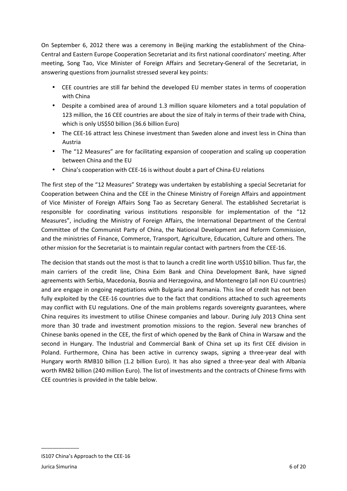On September 6, 2012 there was a ceremony in Beijing marking the establishment of the China-Central and Eastern Europe Cooperation Secretariat and its first national coordinators' meeting. After meeting, Song Tao, Vice Minister of Foreign Affairs and Secretary-General of the Secretariat, in answering questions from journalist stressed several key points:

- CEE countries are still far behind the developed EU member states in terms of cooperation with China
- Despite a combined area of around 1.3 million square kilometers and a total population of 123 million, the 16 CEE countries are about the size of Italy in terms of their trade with China, which is only US\$50 billion (36.6 billion Euro)
- The CEE-16 attract less Chinese investment than Sweden alone and invest less in China than Austria
- The "12 Measures" are for facilitating expansion of cooperation and scaling up cooperation between China and the EU
- China's cooperation with CEE-16 is without doubt a part of China-EU relations

The first step of the "12 Measures" Strategy was undertaken by establishing a special Secretariat for Cooperation between China and the CEE in the Chinese Ministry of Foreign Affairs and appointment of Vice Minister of Foreign Affairs Song Tao as Secretary General. The established Secretariat is responsible for coordinating various institutions responsible for implementation of the "12 Measures", including the Ministry of Foreign Affairs, the International Department of the Central Committee of the Communist Party of China, the National Development and Reform Commission, and the ministries of Finance, Commerce, Transport, Agriculture, Education, Culture and others. The other mission for the Secretariat is to maintain regular contact with partners from the CEE-16.

The decision that stands out the most is that to launch a credit line worth US\$10 billion. Thus far, the main carriers of the credit line, China Exim Bank and China Development Bank, have signed agreements with Serbia, Macedonia, Bosnia and Herzegovina, and Montenegro (all non EU countries) and are engage in ongoing negotiations with Bulgaria and Romania. This line of credit has not been fully exploited by the CEE-16 countries due to the fact that conditions attached to such agreements may conflict with EU regulations. One of the main problems regards sovereignty guarantees, where China requires its investment to utilise Chinese companies and labour. During July 2013 China sent more than 30 trade and investment promotion missions to the region. Several new branches of Chinese banks opened in the CEE, the first of which opened by the Bank of China in Warsaw and the second in Hungary. The Industrial and Commercial Bank of China set up its first CEE division in Poland. Furthermore, China has been active in currency swaps, signing a three-year deal with Hungary worth RMB10 billion (1.2 billion Euro). It has also signed a three-year deal with Albania worth RMB2 billion (240 million Euro). The list of investments and the contracts of Chinese firms with CEE countries is provided in the table below.

IS107 China's Approach to the CEE-16 Jurica Simurina 6 of 20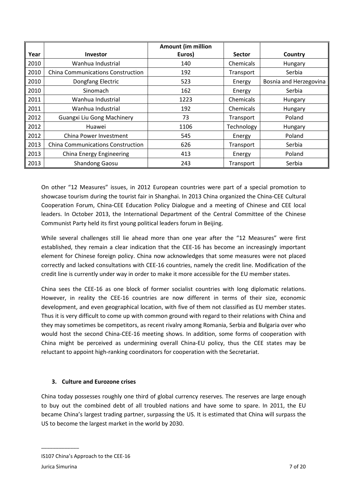|      |                                          | <b>Amount (im million</b> |               |                        |
|------|------------------------------------------|---------------------------|---------------|------------------------|
| Year | <b>Investor</b>                          | Euros)                    | <b>Sector</b> | Country                |
| 2010 | Wanhua Industrial                        | 140                       | Chemicals     | Hungary                |
| 2010 | <b>China Communications Construction</b> | 192                       | Transport     | Serbia                 |
| 2010 | Dongfang Electric                        | 523                       | Energy        | Bosnia and Herzegovina |
| 2010 | Sinomach                                 | 162                       | Energy        | Serbia                 |
| 2011 | Wanhua Industrial                        | 1223                      | Chemicals     | Hungary                |
| 2011 | Wanhua Industrial                        | 192                       | Chemicals     | Hungary                |
| 2012 | <b>Guangxi Liu Gong Machinery</b>        | 73                        | Transport     | Poland                 |
| 2012 | Huawei                                   | 1106                      | Technology    | Hungary                |
| 2012 | China Power Investment                   | 545                       | Energy        | Poland                 |
| 2013 | <b>China Communications Construction</b> | 626                       | Transport     | Serbia                 |
| 2013 | China Energy Engineering                 | 413                       | Energy        | Poland                 |
| 2013 | <b>Shandong Gaosu</b>                    | 243                       | Transport     | Serbia                 |

On other "12 Measures" issues, in 2012 European countries were part of a special promotion to showcase tourism during the tourist fair in Shanghai. In 2013 China organized the China-CEE Cultural Cooperation Forum, China-CEE Education Policy Dialogue and a meeting of Chinese and CEE local leaders. In October 2013, the International Department of the Central Committee of the Chinese Communist Party held its first young political leaders forum in Beijing.

While several challenges still lie ahead more than one year after the "12 Measures" were first established, they remain a clear indication that the CEE-16 has become an increasingly important element for Chinese foreign policy. China now acknowledges that some measures were not placed correctly and lacked consultations with CEE-16 countries, namely the credit line. Modification of the credit line is currently under way in order to make it more accessible for the EU member states.

China sees the CEE-16 as one block of former socialist countries with long diplomatic relations. However, in reality the CEE-16 countries are now different in terms of their size, economic development, and even geographical location, with five of them not classified as EU member states. Thus it is very difficult to come up with common ground with regard to their relations with China and they may sometimes be competitors, as recent rivalry among Romania, Serbia and Bulgaria over who would host the second China-CEE-16 meeting shows. In addition, some forms of cooperation with China might be perceived as undermining overall China-EU policy, thus the CEE states may be reluctant to appoint high-ranking coordinators for cooperation with the Secretariat.

# **3. Culture and Eurozone crises**

China today possesses roughly one third of global currency reserves. The reserves are large enough to buy out the combined debt of all troubled nations and have some to spare. In 2011, the EU became China's largest trading partner, surpassing the US. It is estimated that China will surpass the US to become the largest market in the world by 2030.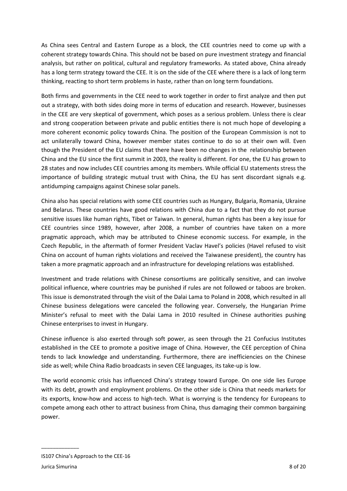As China sees Central and Eastern Europe as a block, the CEE countries need to come up with a coherent strategy towards China. This should not be based on pure investment strategy and financial analysis, but rather on political, cultural and regulatory frameworks. As stated above, China already has a long term strategy toward the CEE. It is on the side of the CEE where there is a lack of long term thinking, reacting to short term problems in haste, rather than on long term foundations.

Both firms and governments in the CEE need to work together in order to first analyze and then put out a strategy, with both sides doing more in terms of education and research. However, businesses in the CEE are very skeptical of government, which poses as a serious problem. Unless there is clear and strong cooperation between private and public entities there is not much hope of developing a more coherent economic policy towards China. The position of the European Commission is not to act unilaterally toward China, however member states continue to do so at their own will. Even though the President of the EU claims that there have been no changes in the relationship between China and the EU since the first summit in 2003, the reality is different. For one, the EU has grown to 28 states and now includes CEE countries among its members. While official EU statements stress the importance of building strategic mutual trust with China, the EU has sent discordant signals e.g. antidumping campaigns against Chinese solar panels.

China also has special relations with some CEE countries such as Hungary, Bulgaria, Romania, Ukraine and Belarus. These countries have good relations with China due to a fact that they do not pursue sensitive issues like human rights, Tibet or Taiwan. In general, human rights has been a key issue for CEE countries since 1989, however, after 2008, a number of countries have taken on a more pragmatic approach, which may be attributed to Chinese economic success. For example, in the Czech Republic, in the aftermath of former President Vaclav Havel's policies (Havel refused to visit China on account of human rights violations and received the Taiwanese president), the country has taken a more pragmatic approach and an infrastructure for developing relations was established.

Investment and trade relations with Chinese consortiums are politically sensitive, and can involve political influence, where countries may be punished if rules are not followed or taboos are broken. This issue is demonstrated through the visit of the Dalai Lama to Poland in 2008, which resulted in all Chinese business delegations were canceled the following year. Conversely, the Hungarian Prime Minister's refusal to meet with the Dalai Lama in 2010 resulted in Chinese authorities pushing Chinese enterprises to invest in Hungary.

Chinese influence is also exerted through soft power, as seen through the 21 Confucius Institutes established in the CEE to promote a positive image of China. However, the CEE perception of China tends to lack knowledge and understanding. Furthermore, there are inefficiencies on the Chinese side as well; while China Radio broadcasts in seven CEE languages, its take-up is low.

The world economic crisis has influenced China's strategy toward Europe. On one side lies Europe with its debt, growth and employment problems. On the other side is China that needs markets for its exports, know-how and access to high-tech. What is worrying is the tendency for Europeans to compete among each other to attract business from China, thus damaging their common bargaining power.

IS107 China's Approach to the CEE-16 Jurica Simurina 8 of 20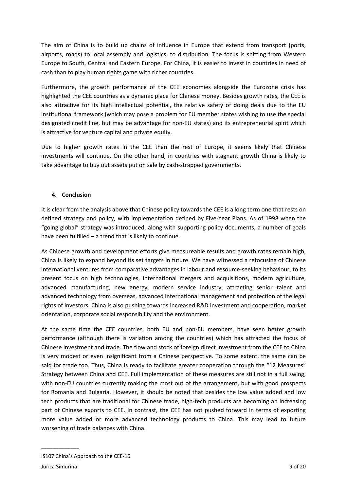The aim of China is to build up chains of influence in Europe that extend from transport (ports, airports, roads) to local assembly and logistics, to distribution. The focus is shifting from Western Europe to South, Central and Eastern Europe. For China, it is easier to invest in countries in need of cash than to play human rights game with richer countries.

Furthermore, the growth performance of the CEE economies alongside the Eurozone crisis has highlighted the CEE countries as a dynamic place for Chinese money. Besides growth rates, the CEE is also attractive for its high intellectual potential, the relative safety of doing deals due to the EU institutional framework (which may pose a problem for EU member states wishing to use the special designated credit line, but may be advantage for non-EU states) and its entrepreneurial spirit which is attractive for venture capital and private equity.

Due to higher growth rates in the CEE than the rest of Europe, it seems likely that Chinese investments will continue. On the other hand, in countries with stagnant growth China is likely to take advantage to buy out assets put on sale by cash-strapped governments.

#### **4. Conclusion**

It is clear from the analysis above that Chinese policy towards the CEE is a long term one that rests on defined strategy and policy, with implementation defined by Five-Year Plans. As of 1998 when the "going global" strategy was introduced, along with supporting policy documents, a number of goals have been fulfilled – a trend that is likely to continue.

As Chinese growth and development efforts give measureable results and growth rates remain high, China is likely to expand beyond its set targets in future. We have witnessed a refocusing of Chinese international ventures from comparative advantages in labour and resource-seeking behaviour, to its present focus on high technologies, international mergers and acquisitions, modern agriculture, advanced manufacturing, new energy, modern service industry, attracting senior talent and advanced technology from overseas, advanced international management and protection of the legal rights of investors. China is also pushing towards increased R&D investment and cooperation, market orientation, corporate social responsibility and the environment.

At the same time the CEE countries, both EU and non-EU members, have seen better growth performance (although there is variation among the countries) which has attracted the focus of Chinese investment and trade. The flow and stock of foreign direct investment from the CEE to China is very modest or even insignificant from a Chinese perspective. To some extent, the same can be said for trade too. Thus, China is ready to facilitate greater cooperation through the "12 Measures" Strategy between China and CEE. Full implementation of these measures are still not in a full swing, with non-EU countries currently making the most out of the arrangement, but with good prospects for Romania and Bulgaria. However, it should be noted that besides the low value added and low tech products that are traditional for Chinese trade, high-tech products are becoming an increasing part of Chinese exports to CEE. In contrast, the CEE has not pushed forward in terms of exporting more value added or more advanced technology products to China. This may lead to future worsening of trade balances with China.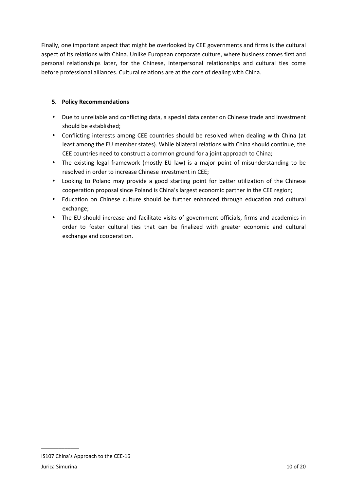Finally, one important aspect that might be overlooked by CEE governments and firms is the cultural aspect of its relations with China. Unlike European corporate culture, where business comes first and personal relationships later, for the Chinese, interpersonal relationships and cultural ties come before professional alliances. Cultural relations are at the core of dealing with China.

## **5. Policy Recommendations**

- Due to unreliable and conflicting data, a special data center on Chinese trade and investment should be established;
- Conflicting interests among CEE countries should be resolved when dealing with China (at least among the EU member states). While bilateral relations with China should continue, the CEE countries need to construct a common ground for a joint approach to China;
- The existing legal framework (mostly EU law) is a major point of misunderstanding to be resolved in order to increase Chinese investment in CEE;
- Looking to Poland may provide a good starting point for better utilization of the Chinese cooperation proposal since Poland is China's largest economic partner in the CEE region;
- Education on Chinese culture should be further enhanced through education and cultural exchange;
- The EU should increase and facilitate visits of government officials, firms and academics in order to foster cultural ties that can be finalized with greater economic and cultural exchange and cooperation.

IS107 China's Approach to the CEE-16 Jurica Simurina 10 of 20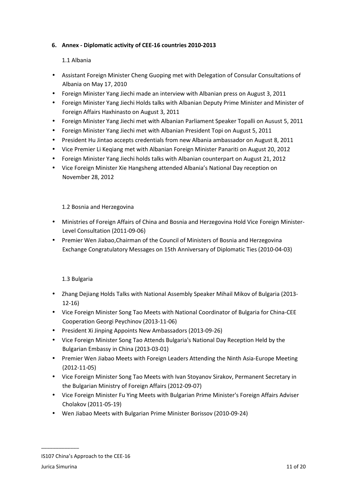### **6. Annex - Diplomatic activity of CEE-16 countries 2010-2013**

### 1.1 Albania

- Assistant Foreign Minister Cheng Guoping met with Delegation of Consular Consultations of Albania on May 17, 2010
- Foreign Minister Yang Jiechi made an interview with Albanian press on August 3, 2011
- Foreign Minister Yang Jiechi Holds talks with Albanian Deputy Prime Minister and Minister of Foreign Affairs Haxhinasto on August 3, 2011
- Foreign Minister Yang Jiechi met with Albanian Parliament Speaker Topalli on Ausust 5, 2011
- Foreign Minister Yang Jiechi met with Albanian President Topi on August 5, 2011
- President Hu Jintao accepts credentials from new Albania ambassador on August 8, 2011
- Vice Premier Li Keqiang met with Albanian Foreign Minister Panariti on August 20, 2012
- Foreign Minister Yang Jiechi holds talks with Albanian counterpart on August 21, 2012
- Vice Foreign Minister Xie Hangsheng attended Albania's National Day reception on November 28, 2012

#### 1.2 Bosnia and Herzegovina

- Ministries of Foreign Affairs of China and Bosnia and Herzegovina Hold Vice Foreign Minister-Level Consultation (2011-09-06)
- Premier Wen Jiabao,Chairman of the Council of Ministers of Bosnia and Herzegovina Exchange Congratulatory Messages on 15th Anniversary of Diplomatic Ties (2010-04-03)

#### 1.3 Bulgaria

- Zhang Dejiang Holds Talks with National Assembly Speaker Mihail Mikov of Bulgaria (2013- 12-16)
- Vice Foreign Minister Song Tao Meets with National Coordinator of Bulgaria for China-CEE Cooperation Georgi Peychinov (2013-11-06)
- President Xi Jinping Appoints New Ambassadors (2013-09-26)
- Vice Foreign Minister Song Tao Attends Bulgaria's National Day Reception Held by the Bulgarian Embassy in China (2013-03-01)
- Premier Wen Jiabao Meets with Foreign Leaders Attending the Ninth Asia-Europe Meeting (2012-11-05)
- Vice Foreign Minister Song Tao Meets with Ivan Stoyanov Sirakov, Permanent Secretary in the Bulgarian Ministry of Foreign Affairs (2012-09-07)
- Vice Foreign Minister Fu Ying Meets with Bulgarian Prime Minister's Foreign Affairs Adviser Cholakov (2011-05-19)
- Wen Jiabao Meets with Bulgarian Prime Minister Borissov (2010-09-24)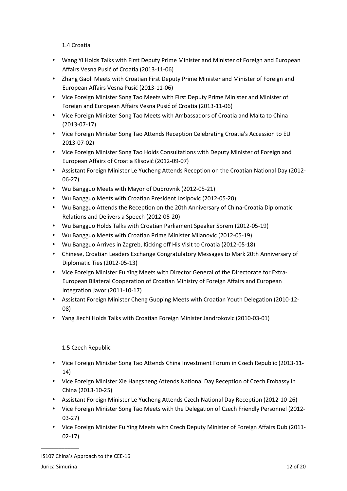1.4 Croatia

- Wang Yi Holds Talks with First Deputy Prime Minister and Minister of Foreign and European Affairs Vesna Pusić of Croatia (2013-11-06)
- Zhang Gaoli Meets with Croatian First Deputy Prime Minister and Minister of Foreign and European Affairs Vesna Pusić (2013-11-06)
- Vice Foreign Minister Song Tao Meets with First Deputy Prime Minister and Minister of Foreign and European Affairs Vesna Pusić of Croatia (2013-11-06)
- Vice Foreign Minister Song Tao Meets with Ambassadors of Croatia and Malta to China (2013-07-17)
- Vice Foreign Minister Song Tao Attends Reception Celebrating Croatia's Accession to EU 2013-07-02)
- Vice Foreign Minister Song Tao Holds Consultations with Deputy Minister of Foreign and European Affairs of Croatia Klisović (2012-09-07)
- Assistant Foreign Minister Le Yucheng Attends Reception on the Croatian National Day (2012- 06-27)
- Wu Bangguo Meets with Mayor of Dubrovnik (2012-05-21)
- Wu Bangguo Meets with Croatian President Josipovic (2012-05-20)
- Wu Bangguo Attends the Reception on the 20th Anniversary of China-Croatia Diplomatic Relations and Delivers a Speech (2012-05-20)
- Wu Bangguo Holds Talks with Croatian Parliament Speaker Sprem (2012-05-19)
- Wu Bangguo Meets with Croatian Prime Minister Milanovic (2012-05-19)
- Wu Bangguo Arrives in Zagreb, Kicking off His Visit to Croatia (2012-05-18)
- Chinese, Croatian Leaders Exchange Congratulatory Messages to Mark 20th Anniversary of Diplomatic Ties (2012-05-13)
- Vice Foreign Minister Fu Ying Meets with Director General of the Directorate for Extra-European Bilateral Cooperation of Croatian Ministry of Foreign Affairs and European Integration Javor (2011-10-17)
- Assistant Foreign Minister Cheng Guoping Meets with Croatian Youth Delegation (2010-12- 08)
- Yang Jiechi Holds Talks with Croatian Foreign Minister Jandrokovic (2010-03-01)

# 1.5 Czech Republic

- Vice Foreign Minister Song Tao Attends China Investment Forum in Czech Republic (2013-11- 14)
- Vice Foreign Minister Xie Hangsheng Attends National Day Reception of Czech Embassy in China (2013-10-25)
- Assistant Foreign Minister Le Yucheng Attends Czech National Day Reception (2012-10-26)
- Vice Foreign Minister Song Tao Meets with the Delegation of Czech Friendly Personnel (2012- 03-27)
- Vice Foreign Minister Fu Ying Meets with Czech Deputy Minister of Foreign Affairs Dub (2011- 02-17)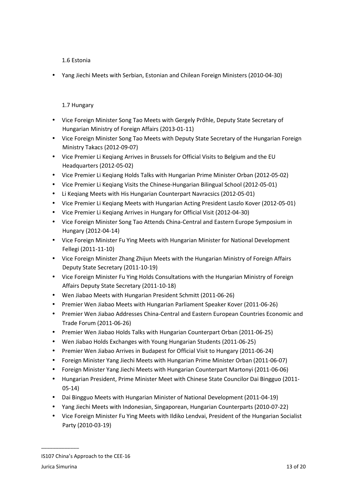1.6 Estonia

• Yang Jiechi Meets with Serbian, Estonian and Chilean Foreign Ministers (2010-04-30)

### 1.7 Hungary

- Vice Foreign Minister Song Tao Meets with Gergely Prőhle, Deputy State Secretary of Hungarian Ministry of Foreign Affairs (2013-01-11)
- Vice Foreign Minister Song Tao Meets with Deputy State Secretary of the Hungarian Foreign Ministry Takacs (2012-09-07)
- Vice Premier Li Keqiang Arrives in Brussels for Official Visits to Belgium and the EU Headquarters (2012-05-02)
- Vice Premier Li Keqiang Holds Talks with Hungarian Prime Minister Orban (2012-05-02)
- Vice Premier Li Keqiang Visits the Chinese-Hungarian Bilingual School (2012-05-01)
- Li Keqiang Meets with His Hungarian Counterpart Navracsics (2012-05-01)
- Vice Premier Li Keqiang Meets with Hungarian Acting President Laszlo Kover (2012-05-01)
- Vice Premier Li Keqiang Arrives in Hungary for Official Visit (2012-04-30)
- Vice Foreign Minister Song Tao Attends China-Central and Eastern Europe Symposium in Hungary (2012-04-14)
- Vice Foreign Minister Fu Ying Meets with Hungarian Minister for National Development Fellegi (2011-11-10)
- Vice Foreign Minister Zhang Zhijun Meets with the Hungarian Ministry of Foreign Affairs Deputy State Secretary (2011-10-19)
- Vice Foreign Minister Fu Ying Holds Consultations with the Hungarian Ministry of Foreign Affairs Deputy State Secretary (2011-10-18)
- Wen Jiabao Meets with Hungarian President Schmitt (2011-06-26)
- Premier Wen Jiabao Meets with Hungarian Parliament Speaker Kover (2011-06-26)
- Premier Wen Jiabao Addresses China-Central and Eastern European Countries Economic and Trade Forum (2011-06-26)
- Premier Wen Jiabao Holds Talks with Hungarian Counterpart Orban (2011-06-25)
- Wen Jiabao Holds Exchanges with Young Hungarian Students (2011-06-25)
- Premier Wen Jiabao Arrives in Budapest for Official Visit to Hungary (2011-06-24)
- Foreign Minister Yang Jiechi Meets with Hungarian Prime Minister Orban (2011-06-07)
- Foreign Minister Yang Jiechi Meets with Hungarian Counterpart Martonyi (2011-06-06)
- Hungarian President, Prime Minister Meet with Chinese State Councilor Dai Bingguo (2011- 05-14)
- Dai Bingguo Meets with Hungarian Minister of National Development (2011-04-19)
- Yang Jiechi Meets with Indonesian, Singaporean, Hungarian Counterparts (2010-07-22)
- Vice Foreign Minister Fu Ying Meets with Ildiko Lendvai, President of the Hungarian Socialist Party (2010-03-19)

IS107 China's Approach to the CEE-16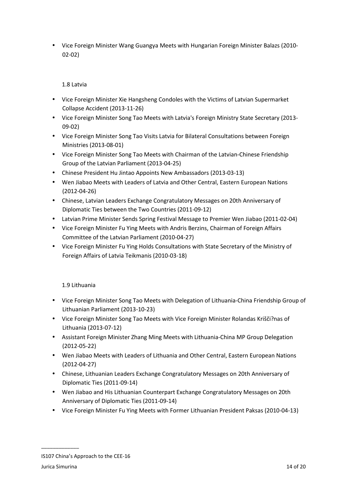• Vice Foreign Minister Wang Guangya Meets with Hungarian Foreign Minister Balazs (2010- 02-02)

1.8 Latvia

- Vice Foreign Minister Xie Hangsheng Condoles with the Victims of Latvian Supermarket Collapse Accident (2013-11-26)
- Vice Foreign Minister Song Tao Meets with Latvia's Foreign Ministry State Secretary (2013- 09-02)
- Vice Foreign Minister Song Tao Visits Latvia for Bilateral Consultations between Foreign Ministries (2013-08-01)
- Vice Foreign Minister Song Tao Meets with Chairman of the Latvian-Chinese Friendship Group of the Latvian Parliament (2013-04-25)
- Chinese President Hu Jintao Appoints New Ambassadors (2013-03-13)
- Wen Jiabao Meets with Leaders of Latvia and Other Central, Eastern European Nations (2012-04-26)
- Chinese, Latvian Leaders Exchange Congratulatory Messages on 20th Anniversary of Diplomatic Ties between the Two Countries (2011-09-12)
- Latvian Prime Minister Sends Spring Festival Message to Premier Wen Jiabao (2011-02-04)
- Vice Foreign Minister Fu Ying Meets with Andris Berzins, Chairman of Foreign Affairs Committee of the Latvian Parliament (2010-04-27)
- Vice Foreign Minister Fu Ying Holds Consultations with State Secretary of the Ministry of Foreign Affairs of Latvia Teikmanis (2010-03-18)

1.9 Lithuania

- Vice Foreign Minister Song Tao Meets with Delegation of Lithuania-China Friendship Group of Lithuanian Parliament (2013-10-23)
- Vice Foreign Minister Song Tao Meets with Vice Foreign Minister Rolandas Krišči?nas of Lithuania (2013-07-12)
- Assistant Foreign Minister Zhang Ming Meets with Lithuania-China MP Group Delegation (2012-05-22)
- Wen Jiabao Meets with Leaders of Lithuania and Other Central, Eastern European Nations (2012-04-27)
- Chinese, Lithuanian Leaders Exchange Congratulatory Messages on 20th Anniversary of Diplomatic Ties (2011-09-14)
- Wen Jiabao and His Lithuanian Counterpart Exchange Congratulatory Messages on 20th Anniversary of Diplomatic Ties (2011-09-14)
- Vice Foreign Minister Fu Ying Meets with Former Lithuanian President Paksas (2010-04-13)

IS107 China's Approach to the CEE-16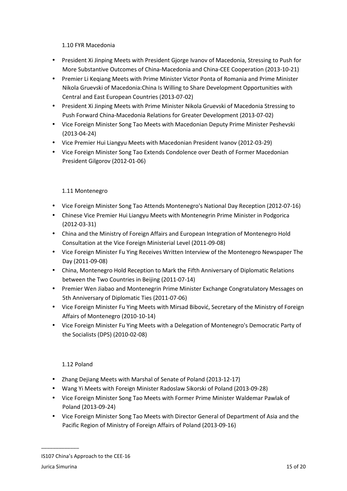### 1.10 FYR Macedonia

- President Xi Jinping Meets with President Gjorge Ivanov of Macedonia, Stressing to Push for More Substantive Outcomes of China-Macedonia and China-CEE Cooperation (2013-10-21)
- Premier Li Keqiang Meets with Prime Minister Victor Ponta of Romania and Prime Minister Nikola Gruevski of Macedonia:China Is Willing to Share Development Opportunities with Central and East European Countries (2013-07-02)
- President Xi Jinping Meets with Prime Minister Nikola Gruevski of Macedonia Stressing to Push Forward China-Macedonia Relations for Greater Development (2013-07-02)
- Vice Foreign Minister Song Tao Meets with Macedonian Deputy Prime Minister Peshevski (2013-04-24)
- Vice Premier Hui Liangyu Meets with Macedonian President Ivanov (2012-03-29)
- Vice Foreign Minister Song Tao Extends Condolence over Death of Former Macedonian President Gilgorov (2012-01-06)

# 1.11 Montenegro

- Vice Foreign Minister Song Tao Attends Montenegro's National Day Reception (2012-07-16)
- Chinese Vice Premier Hui Liangyu Meets with Montenegrin Prime Minister in Podgorica (2012-03-31)
- China and the Ministry of Foreign Affairs and European Integration of Montenegro Hold Consultation at the Vice Foreign Ministerial Level (2011-09-08)
- Vice Foreign Minister Fu Ying Receives Written Interview of the Montenegro Newspaper The Day (2011-09-08)
- China, Montenegro Hold Reception to Mark the Fifth Anniversary of Diplomatic Relations between the Two Countries in Beijing (2011-07-14)
- Premier Wen Jiabao and Montenegrin Prime Minister Exchange Congratulatory Messages on 5th Anniversary of Diplomatic Ties (2011-07-06)
- Vice Foreign Minister Fu Ying Meets with Mirsad Bibović, Secretary of the Ministry of Foreign Affairs of Montenegro (2010-10-14)
- Vice Foreign Minister Fu Ying Meets with a Delegation of Montenegro's Democratic Party of the Socialists (DPS) (2010-02-08)

# 1.12 Poland

- Zhang Dejiang Meets with Marshal of Senate of Poland (2013-12-17)
- Wang Yi Meets with Foreign Minister Radoslaw Sikorski of Poland (2013-09-28)
- Vice Foreign Minister Song Tao Meets with Former Prime Minister Waldemar Pawlak of Poland (2013-09-24)
- Vice Foreign Minister Song Tao Meets with Director General of Department of Asia and the Pacific Region of Ministry of Foreign Affairs of Poland (2013-09-16)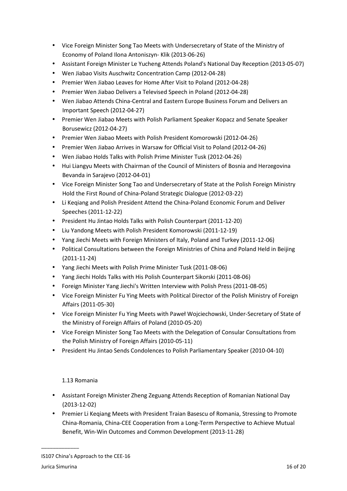- Vice Foreign Minister Song Tao Meets with Undersecretary of State of the Ministry of Economy of Poland Ilona Antoniszyn- Klik (2013-06-26)
- Assistant Foreign Minister Le Yucheng Attends Poland's National Day Reception (2013-05-07)
- Wen Jiabao Visits Auschwitz Concentration Camp (2012-04-28)
- Premier Wen Jiabao Leaves for Home After Visit to Poland (2012-04-28)
- Premier Wen Jiabao Delivers a Televised Speech in Poland (2012-04-28)
- Wen Jiabao Attends China-Central and Eastern Europe Business Forum and Delivers an Important Speech (2012-04-27)
- Premier Wen Jiabao Meets with Polish Parliament Speaker Kopacz and Senate Speaker Borusewicz (2012-04-27)
- Premier Wen Jiabao Meets with Polish President Komorowski (2012-04-26)
- Premier Wen Jiabao Arrives in Warsaw for Official Visit to Poland (2012-04-26)
- Wen Jiabao Holds Talks with Polish Prime Minister Tusk (2012-04-26)
- Hui Liangyu Meets with Chairman of the Council of Ministers of Bosnia and Herzegovina Bevanda in Sarajevo (2012-04-01)
- Vice Foreign Minister Song Tao and Undersecretary of State at the Polish Foreign Ministry Hold the First Round of China-Poland Strategic Dialogue (2012-03-22)
- Li Keqiang and Polish President Attend the China-Poland Economic Forum and Deliver Speeches (2011-12-22)
- President Hu Jintao Holds Talks with Polish Counterpart (2011-12-20)
- Liu Yandong Meets with Polish President Komorowski (2011-12-19)
- Yang Jiechi Meets with Foreign Ministers of Italy, Poland and Turkey (2011-12-06)
- Political Consultations between the Foreign Ministries of China and Poland Held in Beijing (2011-11-24)
- Yang Jiechi Meets with Polish Prime Minister Tusk (2011-08-06)
- Yang Jiechi Holds Talks with His Polish Counterpart Sikorski (2011-08-06)
- Foreign Minister Yang Jiechi's Written Interview with Polish Press (2011-08-05)
- Vice Foreign Minister Fu Ying Meets with Political Director of the Polish Ministry of Foreign Affairs (2011-05-30)
- Vice Foreign Minister Fu Ying Meets with Paweł Wojciechowski, Under-Secretary of State of the Ministry of Foreign Affairs of Poland (2010-05-20)
- Vice Foreign Minister Song Tao Meets with the Delegation of Consular Consultations from the Polish Ministry of Foreign Affairs (2010-05-11)
- President Hu Jintao Sends Condolences to Polish Parliamentary Speaker (2010-04-10)

# 1.13 Romania

- Assistant Foreign Minister Zheng Zeguang Attends Reception of Romanian National Day (2013-12-02)
- Premier Li Keqiang Meets with President Traian Basescu of Romania, Stressing to Promote China-Romania, China-CEE Cooperation from a Long-Term Perspective to Achieve Mutual Benefit, Win-Win Outcomes and Common Development (2013-11-28)

IS107 China's Approach to the CEE-16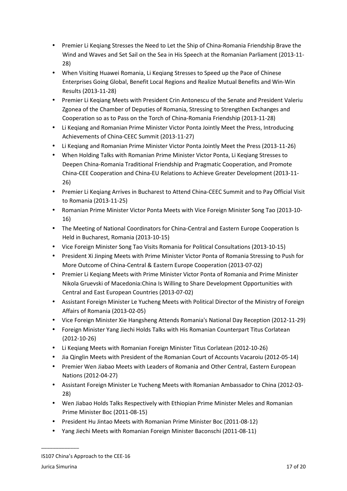- Premier Li Keqiang Stresses the Need to Let the Ship of China-Romania Friendship Brave the Wind and Waves and Set Sail on the Sea in His Speech at the Romanian Parliament (2013-11- 28)
- When Visiting Huawei Romania, Li Keqiang Stresses to Speed up the Pace of Chinese Enterprises Going Global, Benefit Local Regions and Realize Mutual Benefits and Win-Win Results (2013-11-28)
- Premier Li Keqiang Meets with President Crin Antonescu of the Senate and President Valeriu Zgonea of the Chamber of Deputies of Romania, Stressing to Strengthen Exchanges and Cooperation so as to Pass on the Torch of China-Romania Friendship (2013-11-28)
- Li Keqiang and Romanian Prime Minister Victor Ponta Jointly Meet the Press, Introducing Achievements of China-CEEC Summit (2013-11-27)
- Li Keqiang and Romanian Prime Minister Victor Ponta Jointly Meet the Press (2013-11-26)
- When Holding Talks with Romanian Prime Minister Victor Ponta, Li Keqiang Stresses to Deepen China-Romania Traditional Friendship and Pragmatic Cooperation, and Promote China-CEE Cooperation and China-EU Relations to Achieve Greater Development (2013-11- 26)
- Premier Li Keqiang Arrives in Bucharest to Attend China-CEEC Summit and to Pay Official Visit to Romania (2013-11-25)
- Romanian Prime Minister Victor Ponta Meets with Vice Foreign Minister Song Tao (2013-10- 16)
- The Meeting of National Coordinators for China-Central and Eastern Europe Cooperation Is Held in Bucharest, Romania (2013-10-15)
- Vice Foreign Minister Song Tao Visits Romania for Political Consultations (2013-10-15)
- President Xi Jinping Meets with Prime Minister Victor Ponta of Romania Stressing to Push for More Outcome of China-Central & Eastern Europe Cooperation (2013-07-02)
- Premier Li Keqiang Meets with Prime Minister Victor Ponta of Romania and Prime Minister Nikola Gruevski of Macedonia:China Is Willing to Share Development Opportunities with Central and East European Countries (2013-07-02)
- Assistant Foreign Minister Le Yucheng Meets with Political Director of the Ministry of Foreign Affairs of Romania (2013-02-05)
- Vice Foreign Minister Xie Hangsheng Attends Romania's National Day Reception (2012-11-29)
- Foreign Minister Yang Jiechi Holds Talks with His Romanian Counterpart Titus Corlatean (2012-10-26)
- Li Keqiang Meets with Romanian Foreign Minister Titus Corlatean (2012-10-26)
- Jia Qinglin Meets with President of the Romanian Court of Accounts Vacaroiu (2012-05-14)
- Premier Wen Jiabao Meets with Leaders of Romania and Other Central, Eastern European Nations (2012-04-27)
- Assistant Foreign Minister Le Yucheng Meets with Romanian Ambassador to China (2012-03- 28)
- Wen Jiabao Holds Talks Respectively with Ethiopian Prime Minister Meles and Romanian Prime Minister Boc (2011-08-15)
- President Hu Jintao Meets with Romanian Prime Minister Boc (2011-08-12)
- Yang Jiechi Meets with Romanian Foreign Minister Baconschi (2011-08-11)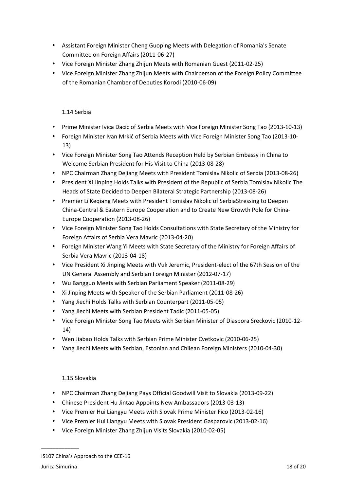- Assistant Foreign Minister Cheng Guoping Meets with Delegation of Romania's Senate Committee on Foreign Affairs (2011-06-27)
- Vice Foreign Minister Zhang Zhijun Meets with Romanian Guest (2011-02-25)
- Vice Foreign Minister Zhang Zhijun Meets with Chairperson of the Foreign Policy Committee of the Romanian Chamber of Deputies Korodi (2010-06-09)

## 1.14 Serbia

- Prime Minister Ivica Dacic of Serbia Meets with Vice Foreign Minister Song Tao (2013-10-13)
- Foreign Minister Ivan Mrkić of Serbia Meets with Vice Foreign Minister Song Tao (2013-10- 13)
- Vice Foreign Minister Song Tao Attends Reception Held by Serbian Embassy in China to Welcome Serbian President for His Visit to China (2013-08-28)
- NPC Chairman Zhang Dejiang Meets with President Tomislav Nikolic of Serbia (2013-08-26)
- President Xi Jinping Holds Talks with President of the Republic of Serbia Tomislav Nikolic The Heads of State Decided to Deepen Bilateral Strategic Partnership (2013-08-26)
- Premier Li Keqiang Meets with President Tomislav Nikolic of SerbiaStressing to Deepen China-Central & Eastern Europe Cooperation and to Create New Growth Pole for China-Europe Cooperation (2013-08-26)
- Vice Foreign Minister Song Tao Holds Consultations with State Secretary of the Ministry for Foreign Affairs of Serbia Vera Mavric (2013-04-20)
- Foreign Minister Wang Yi Meets with State Secretary of the Ministry for Foreign Affairs of Serbia Vera Mavric (2013-04-18)
- Vice President Xi Jinping Meets with Vuk Jeremic, President-elect of the 67th Session of the UN General Assembly and Serbian Foreign Minister (2012-07-17)
- Wu Bangguo Meets with Serbian Parliament Speaker (2011-08-29)
- Xi Jinping Meets with Speaker of the Serbian Parliament (2011-08-26)
- Yang Jiechi Holds Talks with Serbian Counterpart (2011-05-05)
- Yang Jiechi Meets with Serbian President Tadic (2011-05-05)
- Vice Foreign Minister Song Tao Meets with Serbian Minister of Diaspora Sreckovic (2010-12- 14)
- Wen Jiabao Holds Talks with Serbian Prime Minister Cvetkovic (2010-06-25)
- Yang Jiechi Meets with Serbian, Estonian and Chilean Foreign Ministers (2010-04-30)

#### 1.15 Slovakia

- NPC Chairman Zhang Dejiang Pays Official Goodwill Visit to Slovakia (2013-09-22)
- Chinese President Hu Jintao Appoints New Ambassadors (2013-03-13)
- Vice Premier Hui Liangyu Meets with Slovak Prime Minister Fico (2013-02-16)
- Vice Premier Hui Liangyu Meets with Slovak President Gasparovic (2013-02-16)
- Vice Foreign Minister Zhang Zhijun Visits Slovakia (2010-02-05)